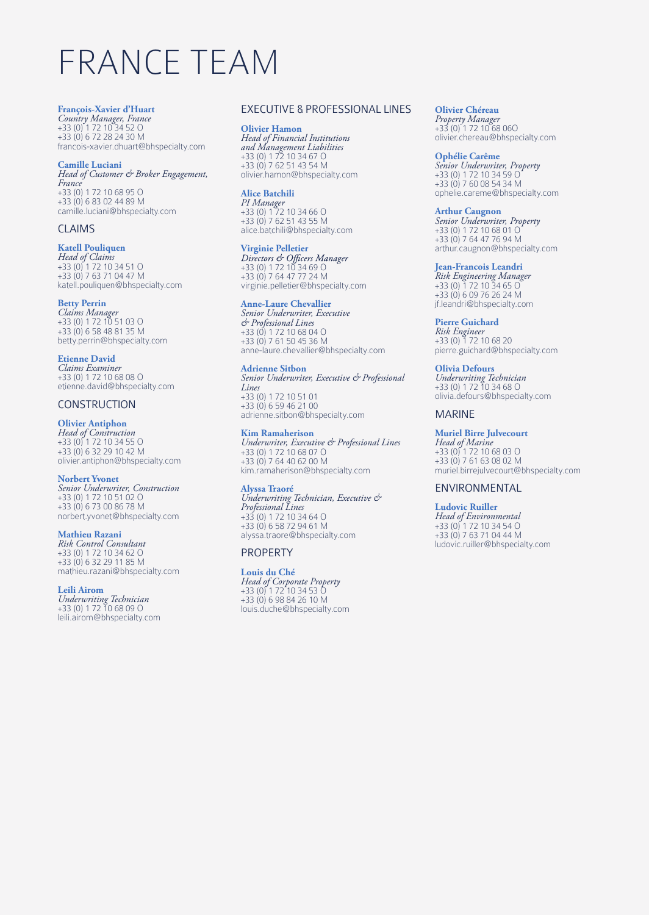# FRANCE TEAM

#### **François-Xavier d'Huart**

*Country Manager, France* +33 (0) 1 72 10 34 52 O +33 (0) 6 72 28 24 30 M francois-xavier.dhuart@bhspecialty.com

#### **Camille Luciani**

*Head of Customer & Broker Engagement, France* +33 (0) 1 72 10 68 95 O +33 (0) 6 83 02 44 89 M camille.luciani@bhspecialty.com

#### CLAIMS

## **Katell Pouliquen**

*Head of Claims* +33 (0) 1 72 10 34 51 O +33 (0) 7 63 71 04 47 M katell.pouliquen@bhspecialty.com

## **Betty Perrin**

*Claims Manager* +33 (0) 1 72 10 51 03 O +33 (0) 6 58 48 81 35 M betty.perrin@bhspecialty.com

#### **Etienne David**

*Claims Examiner* +33 (0) 1 72 10 68 08 O etienne.david@bhspecialty.com

## **CONSTRUCTION**

## **Olivier Antiphon**

*Head of Construction* +33 (0) 1 72 10 34 55 O +33 (0) 6 32 29 10 42 M olivier.antiphon@bhspecialty.com

#### **Norbert Yvonet**

*Senior Underwriter, Construction* +33 (0) 1 72 10 51 02 O +33 (0) 6 73 00 86 78 M norbert.yvonet@bhspecialty.com

#### **Mathieu Razani**

*Risk Control Consultant* +33 (0) 1 72 10 34 62 O +33 (0) 6 32 29 11 85 M mathieu.razani@bhspecialty.com

**Leili Airom** *Underwriting Technician* +33 (0) 1 72 10 68 09 O leili.airom@bhspecialty.com

#### EXECUTIVE & PROFESSIONAL LINES

**Olivier Hamon** *Head of Financial Institutions and Management Liabilities* +33 (0) 1 72 10 34 67 O +33 (0) 7 62 51 43 54 M olivier.hamon@bhspecialty.com

#### **Alice Batchili**

*PI Manager* +33 (0) 1 72 10 34 66 O +33 (0) 7 62 51 43 55 M alice.batchili@bhspecialty.com

#### **Virginie Pelletier**

+33 (0) 1 72 10 34 69 O +33 (0) 7 64 47 77 24 M virginie.pelletier@bhspecialty.com

#### **Anne-Laure Chevallier**

*Senior Underwriter, Executive & Professional Lines* +33 (0) 1 72 10 68 04 O +33 (0) 7 61 50 45 36 M anne-laure.chevallier@bhspecialty.com

#### **Adrienne Sitbon**

*Senior Underwriter, Executive & Professional Lines* +33 (0) 1 72 10 51 01 +33 (0) 6 59 46 21 00 adrienne.sitbon@bhspecialty.com

#### **Kim Ramaherison**

*Underwriter, Executive & Professional Lines* +33 (0) 1 72 10 68 07 O +33 (0) 7 64 40 62 00 M kim.ramaherison@bhspecialty.com

#### **Alyssa Traoré**

*Underwriting Technician, Executive & Professional Lines* +33 (0) 1 72 10 34 64 O +33 (0) 6 58 72 94 61 M alyssa.traore@bhspecialty.com

#### PROPERTY

#### **Louis du Ché**

*Head of Corporate Property* +33 (0) 1 72 10 34 53 O +33 (0) 6 98 84 26 10 M louis.duche@bhspecialty.com

**Olivier Chéreau** *Property Manager* +33 (0) 1 72 10 68 06O olivier.chereau@bhspecialty.com

#### **Ophélie Carême**

*Senior Underwriter, Property* +33 (0) 1 72 10 34 59 O +33 (0) 7 60 08 54 34 M ophelie.careme@bhspecialty.com

# **Arthur Caugnon**

*Senior Underwriter, Property* +33 (0) 1 72 10 68 01 O +33 (0) 7 64 47 76 94 M arthur.caugnon@bhspecialty.com

#### **Jean-Francois Leandri**

*Risk Engineering Manager*  +33 (0) 1 72 10 34 65 O +33 (0) 6 09 76 26 24 M jf.leandri@bhspecialty.com

#### **Pierre Guichard**

*Risk Engineer* +33 (0) 1 72 10 68 20 pierre.guichard@bhspecialty.com

#### **Olivia Defours**

*Underwriting Technician* +33 (0) 1 72 10 34 68 O olivia.defours@bhspecialty.com

#### MARINE

### **Muriel Birre Julvecourt**

*Head of Marine* +33 (0) 1 72 10 68 03 O +33 (0) 7 61 63 08 02 M muriel.birrejulvecourt@bhspecialty.com

#### ENVIRONMENTAL

**Ludovic Ruiller** *Head of Environmental* +33 (0) 1 72 10 34 54 O +33 (0) 7 63 71 04 44 M ludovic.ruiller@bhspecialty.com